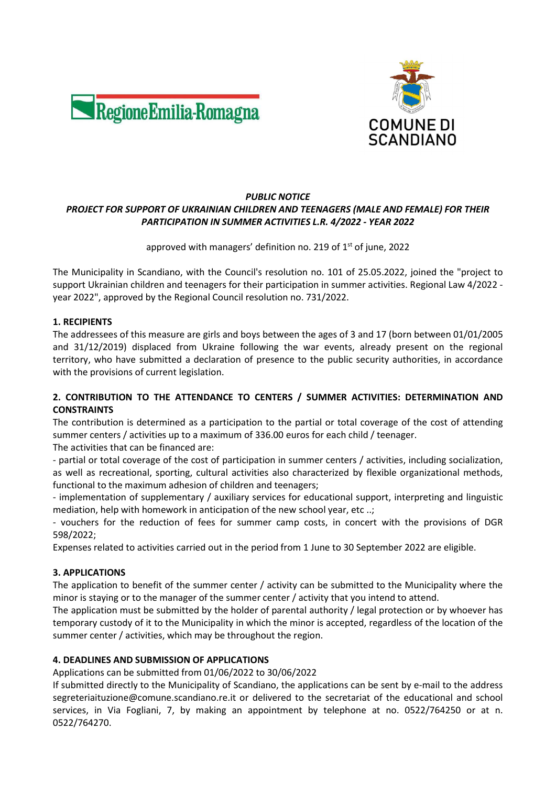



#### PUBLIC NOTICE PROJECT FOR SUPPORT OF UKRAINIAN CHILDREN AND TEENAGERS (MALE AND FEMALE) FOR THEIR PARTICIPATION IN SUMMER ACTIVITIES L.R. 4/2022 - YEAR 2022

# approved with managers' definition no. 219 of  $1<sup>st</sup>$  of june, 2022

The Municipality in Scandiano, with the Council's resolution no. 101 of 25.05.2022, joined the "project to support Ukrainian children and teenagers for their participation in summer activities. Regional Law 4/2022 year 2022", approved by the Regional Council resolution no. 731/2022.

## 1. RECIPIENTS

The addressees of this measure are girls and boys between the ages of 3 and 17 (born between 01/01/2005 and 31/12/2019) displaced from Ukraine following the war events, already present on the regional territory, who have submitted a declaration of presence to the public security authorities, in accordance with the provisions of current legislation.

## 2. CONTRIBUTION TO THE ATTENDANCE TO CENTERS / SUMMER ACTIVITIES: DETERMINATION AND CONSTRAINTS

The contribution is determined as a participation to the partial or total coverage of the cost of attending summer centers / activities up to a maximum of 336.00 euros for each child / teenager.

The activities that can be financed are:

- partial or total coverage of the cost of participation in summer centers / activities, including socialization, as well as recreational, sporting, cultural activities also characterized by flexible organizational methods, functional to the maximum adhesion of children and teenagers;

- implementation of supplementary / auxiliary services for educational support, interpreting and linguistic mediation, help with homework in anticipation of the new school year, etc ..;

- vouchers for the reduction of fees for summer camp costs, in concert with the provisions of DGR 598/2022;

Expenses related to activities carried out in the period from 1 June to 30 September 2022 are eligible.

## 3. APPLICATIONS

The application to benefit of the summer center / activity can be submitted to the Municipality where the minor is staying or to the manager of the summer center / activity that you intend to attend.

The application must be submitted by the holder of parental authority / legal protection or by whoever has temporary custody of it to the Municipality in which the minor is accepted, regardless of the location of the summer center / activities, which may be throughout the region.

## 4. DEADLINES AND SUBMISSION OF APPLICATIONS

Applications can be submitted from 01/06/2022 to 30/06/2022

If submitted directly to the Municipality of Scandiano, the applications can be sent by e-mail to the address segreteriaituzione@comune.scandiano.re.it or delivered to the secretariat of the educational and school services, in Via Fogliani, 7, by making an appointment by telephone at no. 0522/764250 or at n. 0522/764270.